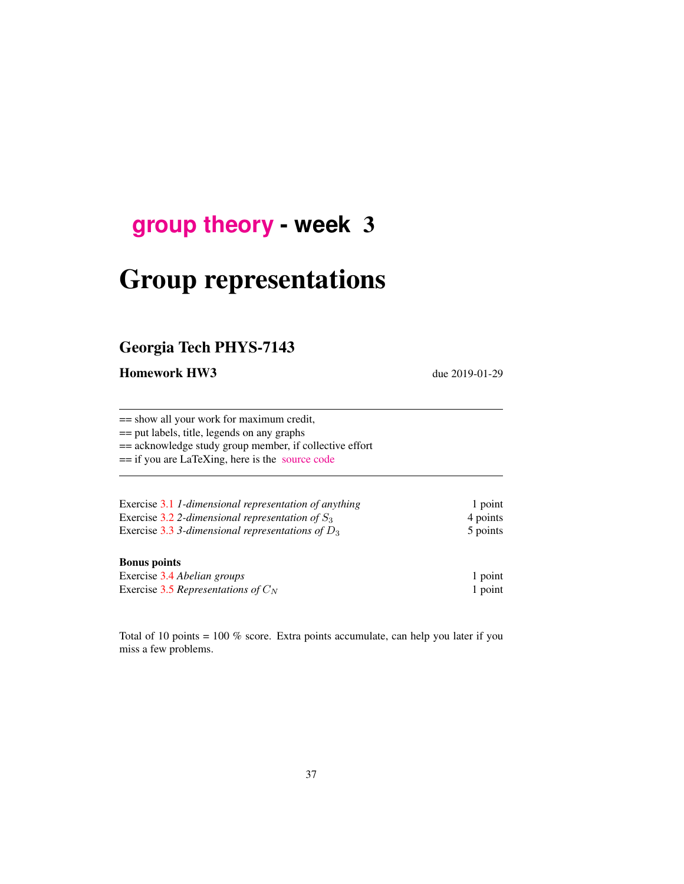# **[group theory](http://birdtracks.eu/courses/PHYS-7143-19/schedule.html) - week** 3

# Group representations

## Georgia Tech PHYS-7143

Homework HW3 due 2019-01-29

== show all your work for maximum credit, == put labels, title, legends on any graphs == acknowledge study group member, if collective effort == if you are LaTeXing, here is the [source code](http://birdtracks.eu/courses/PHYS-7143-19/exerWeek3.tex) Exercise [3.1](#page-1-0) *1-dimensional representation of anything* 1 point Exercise [3.2](#page-1-1) *2-dimensional representation of*  $S_3$  4 points Exercise [3.3](#page-2-0) *3*-dimensional representations of  $D_3$  5 points

#### Bonus points

| Exercise 3.4 Abelian groups           | 1 point |
|---------------------------------------|---------|
| Exercise 3.5 Representations of $C_N$ | 1 point |

Total of 10 points = 100 % score. Extra points accumulate, can help you later if you miss a few problems.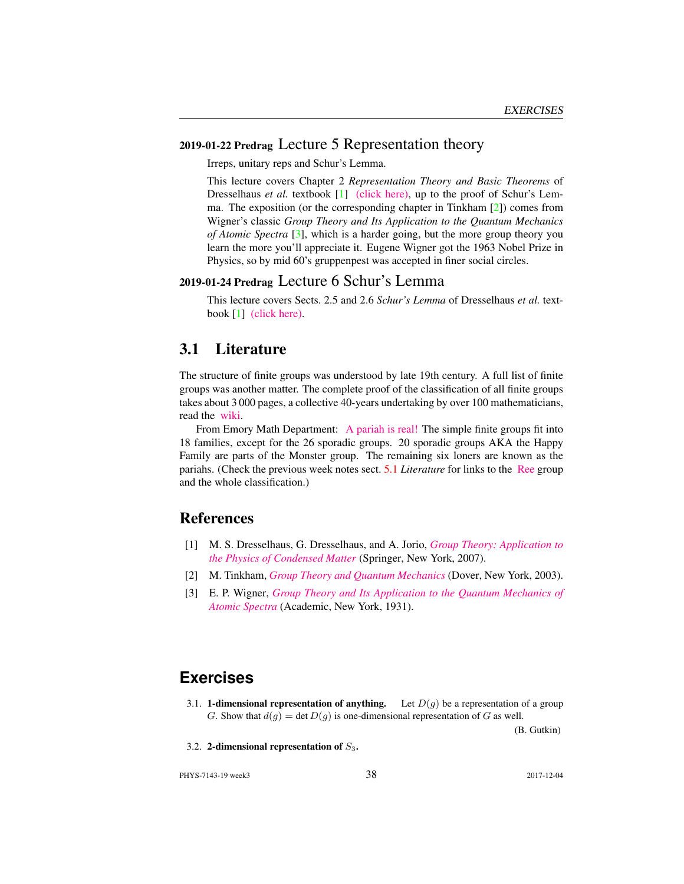#### 2019-01-22 Predrag Lecture 5 Representation theory

Irreps, unitary reps and Schur's Lemma.

This lecture covers Chapter 2 *Representation Theory and Basic Theorems* of Dresselhaus *et al.* textbook [\[1\]](#page-1-2) [\(click here\),](http://chaosbook.org/library/Dresselhaus07.pdf) up to the proof of Schur's Lemma. The exposition (or the corresponding chapter in Tinkham [\[2\]](#page-1-3)) comes from Wigner's classic *Group Theory and Its Application to the Quantum Mechanics of Atomic Spectra* [\[3\]](#page-1-4), which is a harder going, but the more group theory you learn the more you'll appreciate it. Eugene Wigner got the 1963 Nobel Prize in Physics, so by mid 60's gruppenpest was accepted in finer social circles.

#### 2019-01-24 Predrag Lecture 6 Schur's Lemma

This lecture covers Sects. 2.5 and 2.6 *Schur's Lemma* of Dresselhaus *et al.* textbook [\[1\]](#page-1-2) [\(click here\).](http://chaosbook.org/library/Dresselhaus07.pdf)

#### 3.1 Literature

The structure of finite groups was understood by late 19th century. A full list of finite groups was another matter. The complete proof of the classification of all finite groups takes about 3 000 pages, a collective 40-years undertaking by over 100 mathematicians, read the [wiki.](https://en.wikipedia.org/wiki/Classification_of_finite_simple_groups)

From Emory Math Department: [A pariah is real!](https://cosmosmagazine.com/mathematics/moonshine-doughnut-maths-proves-pariahs-are-real) The simple finite groups fit into 18 families, except for the 26 sporadic groups. 20 sporadic groups AKA the Happy Family are parts of the Monster group. The remaining six loners are known as the pariahs. (Check the previous week notes sect. [5.1](#page--1-0) *Literature* for links to the [Ree](https://en.wikipedia.org/wiki/List_of_finite_simple_groups) group and the whole classification.)

#### **References**

- <span id="page-1-2"></span>[1] M. S. Dresselhaus, G. Dresselhaus, and A. Jorio, *[Group Theory: Application to](http://dx.doi.org/10.1007/978-3-540-32899-5) [the Physics of Condensed Matter](http://dx.doi.org/10.1007/978-3-540-32899-5)* (Springer, New York, 2007).
- <span id="page-1-3"></span>[2] M. Tinkham, *[Group Theory and Quantum Mechanics](http://dx.doi.org/10.1016/c2013-0-01646-5)* (Dover, New York, 2003).
- <span id="page-1-4"></span>[3] E. P. Wigner, *[Group Theory and Its Application to the Quantum Mechanics of](http://books.google.com/books?vid=ISBN9780323152785) [Atomic Spectra](http://books.google.com/books?vid=ISBN9780323152785)* (Academic, New York, 1931).

### **Exercises**

<span id="page-1-0"></span>3.1. **1-dimensional representation of anything.** Let  $D(q)$  be a representation of a group G. Show that  $d(g) = \det D(g)$  is one-dimensional representation of G as well.

(B. Gutkin)

<span id="page-1-1"></span>3.2. 2-dimensional representation of  $S_3$ .

PHYS-7143-19 week3 38 2017-12-04